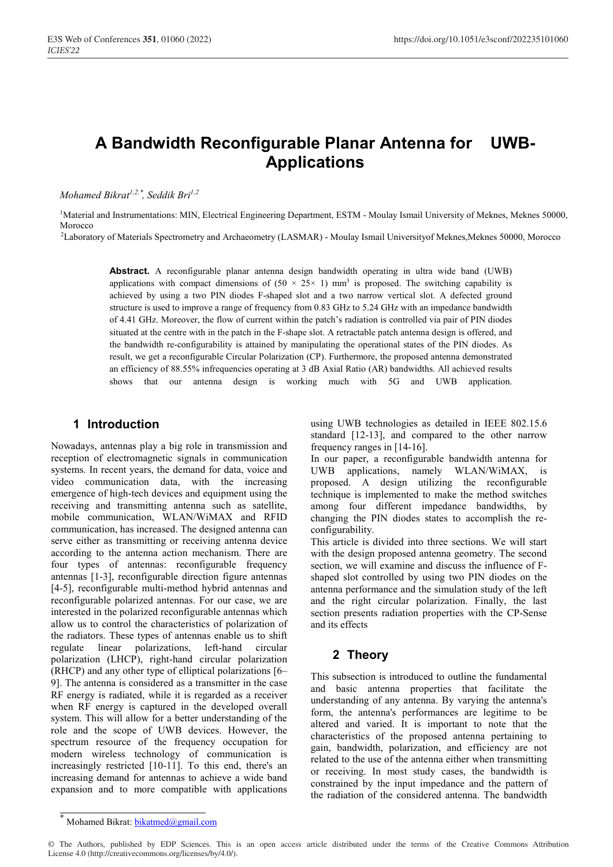# **A Bandwidth Reconfigurable Planar Antenna for UWB-Applications**

*Mohamed Bikrat1,2 , Seddik Bri1,2 ,\**

<sup>1</sup>Material and Instrumentations: MIN, Electrical Engineering Department, ESTM - Moulay Ismail University of Meknes, Meknes 50000, Morocco

2Laboratory of Materials Spectrometry and Archaeometry (LASMAR) - Moulay Ismail Universityof Meknes,Meknes 50000, Morocco

**Abstract.** A reconfigurable planar antenna design bandwidth operating in ultra wide band (UWB) applications with compact dimensions of  $(50 \times 25 \times 1)$  mm<sup>3</sup> is proposed. The switching capability is achieved by using a two PIN diodes F-shaped slot and a two narrow vertical slot. A defected ground structure is used to improve a range of frequency from 0.83 GHz to 5.24 GHz with an impedance bandwidth of 4.41 GHz. Moreover, the flow of current within the patch's radiation is controlled via pair of PIN diodes situated at the centre with in the patch in the F-shape slot. A retractable patch antenna design is offered, and the bandwidth re-configurability is attained by manipulating the operational states of the PIN diodes. As result, we get a reconfigurable Circular Polarization (CP). Furthermore, the proposed antenna demonstrated an efficiency of 88.55% infrequencies operating at 3 dB Axial Ratio (AR) bandwidths. All achieved results shows that our antenna design is working much with 5G and UWB application.

## **1 Introduction**

Nowadays, antennas play a big role in transmission and reception of electromagnetic signals in communication systems. In recent years, the demand for data, voice and video communication data, with the increasing emergence of high-tech devices and equipment using the receiving and transmitting antenna such as satellite, mobile communication, WLAN/WiMAX and RFID communication, has increased. The designed antenna can serve either as transmitting or receiving antenna device according to the antenna action mechanism. There are four types of antennas: reconfigurable frequency antennas [1-3], reconfigurable direction figure antennas [4-5], reconfigurable multi-method hybrid antennas and reconfigurable polarized antennas. For our case, we are interested in the polarized reconfigurable antennas which allow us to control the characteristics of polarization of the radiators. These types of antennas enable us to shift regulate linear polarizations, left-hand circular polarization (LHCP), right-hand circular polarization (RHCP) and any other type of elliptical polarizations [6– 9]. The antenna is considered as a transmitter in the case RF energy is radiated, while it is regarded as a receiver when RF energy is captured in the developed overall system. This will allow for a better understanding of the role and the scope of UWB devices. However, the spectrum resource of the frequency occupation for modern wireless technology of communication is increasingly restricted [10-11]. To this end, there's an increasing demand for antennas to achieve a wide band expansion and to more compatible with applications

using UWB technologies as detailed in IEEE 802.15.6 standard [12-13], and compared to the other narrow frequency ranges in [14-16].

In our paper, a reconfigurable bandwidth antenna for UWB applications, namely WLAN/WiMAX, is proposed. A design utilizing the reconfigurable technique is implemented to make the method switches among four different impedance bandwidths, by changing the PIN diodes states to accomplish the reconfigurability.

This article is divided into three sections. We will start with the design proposed antenna geometry. The second section, we will examine and discuss the influence of Fshaped slot controlled by using two PIN diodes on the antenna performance and the simulation study of the left and the right circular polarization. Finally, the last section presents radiation properties with the CP-Sense and its effects

# **2 Theory**

This subsection is introduced to outline the fundamental and basic antenna properties that facilitate the understanding of any antenna. By varying the antenna's form, the antenna's performances are legitime to be altered and varied. It is important to note that the characteristics of the proposed antenna pertaining to gain, bandwidth, polarization, and efficiency are not related to the use of the antenna either when transmitting or receiving. In most study cases, the bandwidth is constrained by the input impedance and the pattern of the radiation of the considered antenna. The bandwidth

Mohamed Bikrat: bikatmed@gmail.com

<sup>©</sup> The Authors, published by EDP Sciences. This is an open access article distributed under the terms of the Creative Commons Attribution License 4.0 (http://creativecommons.org/licenses/by/4.0/).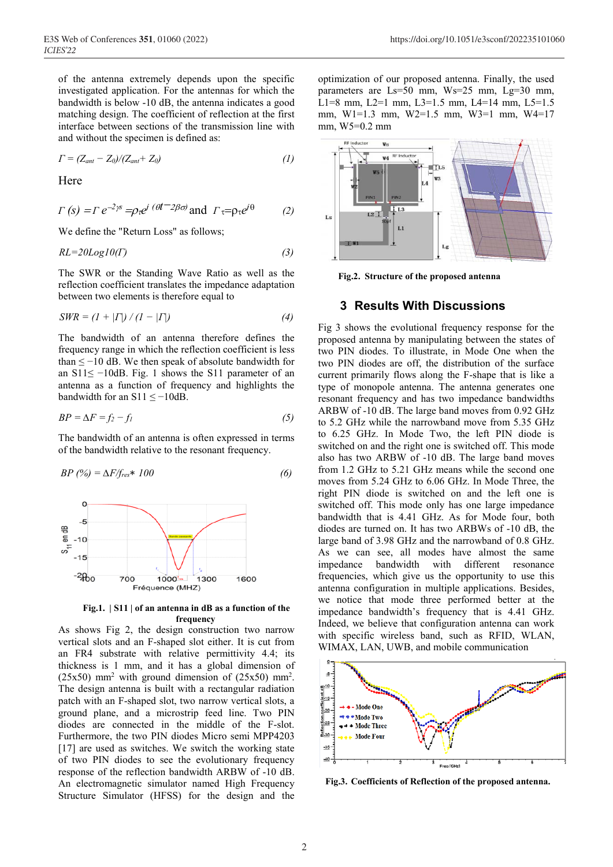of the antenna extremely depends upon the specific investigated application. For the antennas for which the bandwidth is below -10 dB, the antenna indicates a good matching design. The coefficient of reflection at the first interface between sections of the transmission line with and without the specimen is defined as:

$$
\Gamma = (Z_{ant} - Z_0)/(Z_{ant} + Z_0) \tag{1}
$$

Here

$$
\Gamma(s) = \Gamma e^{-2\gamma s} = \rho r e^{j \left(\theta t - 2\beta \sigma \right)} \text{ and } \Gamma \tau = \rho \tau e^{j\theta} \tag{2}
$$

We define the "Return Loss" as follows;

$$
RL = 20Log10(\Gamma) \tag{3}
$$

The SWR or the Standing Wave Ratio as well as the reflection coefficient translates the impedance adaptation between two elements is therefore equal to

$$
SWR = (I + |I|) / (I - |I|)
$$
\n(4)

The bandwidth of an antenna therefore defines the frequency range in which the reflection coefficient is less than  $\leq$  -10 dB. We then speak of absolute bandwidth for an S11≤ −10dB. Fig. 1 shows the S11 parameter of an antenna as a function of frequency and highlights the bandwidth for an S11  $\leq -10$ dB.

$$
BP = \Delta F = f_2 - f_1 \tag{5}
$$

The bandwidth of an antenna is often expressed in terms of the bandwidth relative to the resonant frequency.

$$
BP\ (\%) = \Delta F/f_{res} * 100\tag{6}
$$



**Fig.1. | S11 | of an antenna in dB as a function of the frequency**

As shows Fig 2, the design construction two narrow vertical slots and an F-shaped slot either. It is cut from an FR4 substrate with relative permittivity 4.4; its thickness is 1 mm, and it has a global dimension of  $(25x50)$  mm<sup>2</sup> with ground dimension of  $(25x50)$  mm<sup>2</sup>. The design antenna is built with a rectangular radiation patch with an F-shaped slot, two narrow vertical slots, a ground plane, and a microstrip feed line. Two PIN diodes are connected in the middle of the F-slot. Furthermore, the two PIN diodes Micro semi MPP4203 [17] are used as switches. We switch the working state of two PIN diodes to see the evolutionary frequency response of the reflection bandwidth ARBW of -10 dB. An electromagnetic simulator named High Frequency Structure Simulator (HFSS) for the design and the

optimization of our proposed antenna. Finally, the used parameters are Ls=50 mm, Ws=25 mm, Lg=30 mm, L1=8 mm, L2=1 mm, L3=1.5 mm, L4=14 mm, L5=1.5 mm, W1=1.3 mm, W2=1.5 mm, W3=1 mm, W4=17 mm, W5=0.2 mm



**Fig.2. Structure of the proposed antenna**

#### **3 Results With Discussions**

Fig 3 shows the evolutional frequency response for the proposed antenna by manipulating between the states of two PIN diodes. To illustrate, in Mode One when the two PIN diodes are off, the distribution of the surface current primarily flows along the F-shape that is like a type of monopole antenna. The antenna generates one resonant frequency and has two impedance bandwidths ARBW of -10 dB. The large band moves from 0.92 GHz to 5.2 GHz while the narrowband move from 5.35 GHz to 6.25 GHz. In Mode Two, the left PIN diode is switched on and the right one is switched off. This mode also has two ARBW of -10 dB. The large band moves from 1.2 GHz to 5.21 GHz means while the second one moves from 5.24 GHz to 6.06 GHz. In Mode Three, the right PIN diode is switched on and the left one is switched off. This mode only has one large impedance bandwidth that is 4.41 GHz. As for Mode four, both diodes are turned on. It has two ARBWs of -10 dB, the large band of 3.98 GHz and the narrowband of 0.8 GHz. As we can see, all modes have almost the same impedance bandwidth with different resonance frequencies, which give us the opportunity to use this antenna configuration in multiple applications. Besides, we notice that mode three performed better at the impedance bandwidth's frequency that is 4.41 GHz. Indeed, we believe that configuration antenna can work with specific wireless band, such as RFID, WLAN, WIMAX, LAN, UWB, and mobile communication



**Fig.3. Coefficients of Reflection of the proposed antenna.**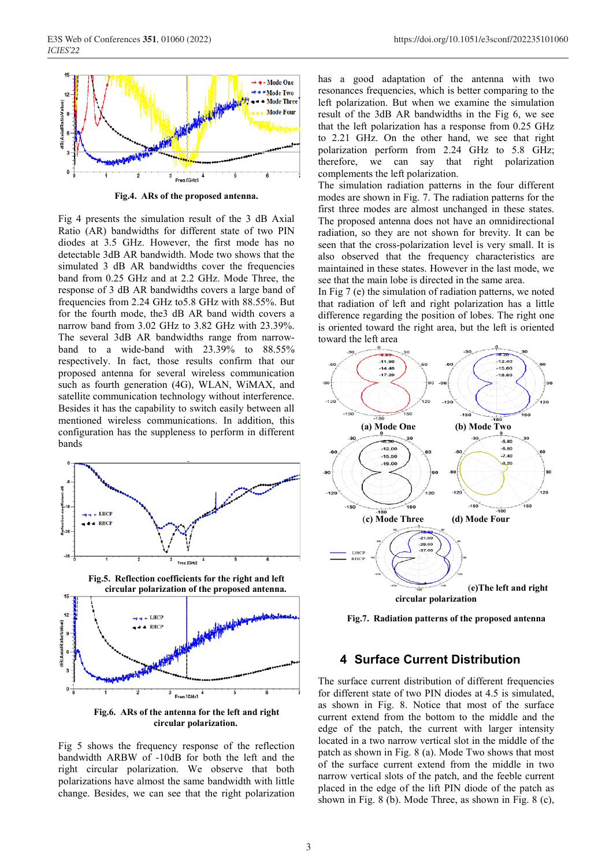

**Fig.4. ARs of the proposed antenna.**

Fig 4 presents the simulation result of the 3 dB Axial Ratio (AR) bandwidths for different state of two PIN diodes at 3.5 GHz. However, the first mode has no detectable 3dB AR bandwidth. Mode two shows that the simulated 3 dB AR bandwidths cover the frequencies band from 0.25 GHz and at 2.2 GHz. Mode Three, the response of 3 dB AR bandwidths covers a large band of frequencies from 2.24 GHz to5.8 GHz with 88.55%. But for the fourth mode, the3 dB AR band width covers a narrow band from 3.02 GHz to 3.82 GHz with 23.39%. The several 3dB AR bandwidths range from narrowband to a wide-band with 23.39% to 88.55% respectively. In fact, those results confirm that our proposed antenna for several wireless communication such as fourth generation (4G), WLAN, WiMAX, and satellite communication technology without interference. Besides it has the capability to switch easily between all mentioned wireless communications. In addition, this configuration has the suppleness to perform in different bands



**Fig.6. ARs of the antenna for the left and right circular polarization.**

Fig 5 shows the frequency response of the reflection bandwidth ARBW of -10dB for both the left and the right circular polarization. We observe that both polarizations have almost the same bandwidth with little change. Besides, we can see that the right polarization

has a good adaptation of the antenna with two resonances frequencies, which is better comparing to the left polarization. But when we examine the simulation result of the 3dB AR bandwidths in the Fig 6, we see that the left polarization has a response from 0.25 GHz to 2.21 GHz. On the other hand, we see that right polarization perform from 2.24 GHz to 5.8 GHz; therefore, we can say that right polarization complements the left polarization.

The simulation radiation patterns in the four different modes are shown in Fig. 7. The radiation patterns for the first three modes are almost unchanged in these states. The proposed antenna does not have an omnidirectional radiation, so they are not shown for brevity. It can be seen that the cross-polarization level is very small. It is also observed that the frequency characteristics are maintained in these states. However in the last mode, we see that the main lobe is directed in the same area.

In Fig 7 (e) the simulation of radiation patterns, we noted that radiation of left and right polarization has a little difference regarding the position of lobes. The right one is oriented toward the right area, but the left is oriented toward the left area



**Fig.7. Radiation patterns of the proposed antenna**

#### **4 Surface Current Distribution**

The surface current distribution of different frequencies for different state of two PIN diodes at 4.5 is simulated, as shown in Fig. 8. Notice that most of the surface current extend from the bottom to the middle and the edge of the patch, the current with larger intensity located in a two narrow vertical slot in the middle of the patch as shown in Fig. 8 (a). Mode Two shows that most of the surface current extend from the middle in two narrow vertical slots of the patch, and the feeble current placed in the edge of the lift PIN diode of the patch as shown in Fig. 8 (b). Mode Three, as shown in Fig. 8 (c),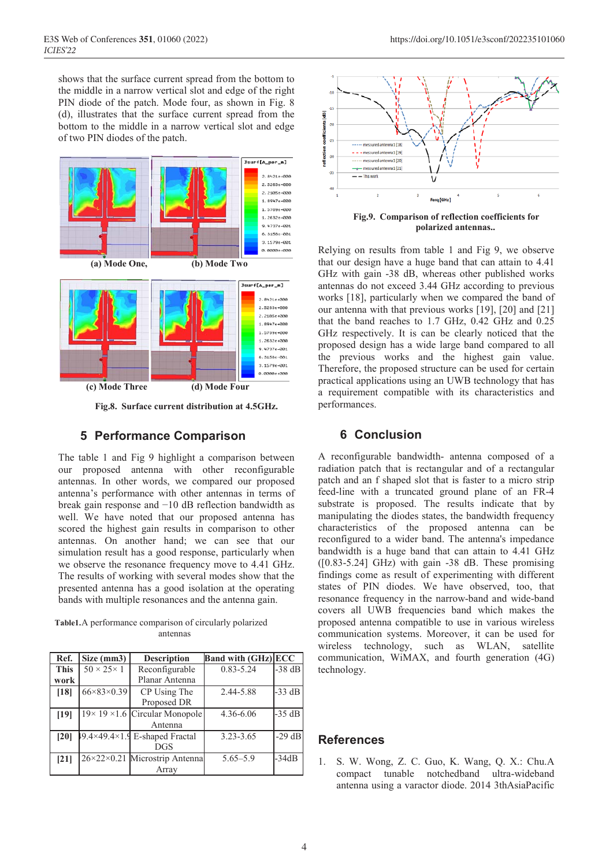shows that the surface current spread from the bottom to the middle in a narrow vertical slot and edge of the right PIN diode of the patch. Mode four, as shown in Fig. 8 (d), illustrates that the surface current spread from the bottom to the middle in a narrow vertical slot and edge of two PIN diodes of the patch.



**Fig.8. Surface current distribution at 4.5GHz.**

# **5 Performance Comparison**

The table 1 and Fig 9 highlight a comparison between our proposed antenna with other reconfigurable antennas. In other words, we compared our proposed antenna's performance with other antennas in terms of break gain response and −10 dB reflection bandwidth as well. We have noted that our proposed antenna has scored the highest gain results in comparison to other antennas. On another hand; we can see that our simulation result has a good response, particularly when we observe the resonance frequency move to 4.41 GHz. The results of working with several modes show that the presented antenna has a good isolation at the operating bands with multiple resonances and the antenna gain.

**Table1.**A performance comparison of circularly polarized antennas

| Ref.        | Size (mm3)                 | <b>Description</b>                          | <b>Band with (GHz) ECC</b> |          |
|-------------|----------------------------|---------------------------------------------|----------------------------|----------|
| <b>This</b> | $50 \times 25 \times 1$    | Reconfigurable                              | $0.83 - 5.24$              | $-38$ dB |
| work        |                            | Planar Antenna                              |                            |          |
| [18]        | $66 \times 83 \times 0.39$ | CP Using The                                | 2.44-5.88                  | $-33$ dB |
|             |                            | Proposed DR                                 |                            |          |
| $[19]$      |                            | $19 \times 19 \times 1.6$ Circular Monopole | 4.36-6.06                  | $-35$ dB |
|             |                            | Antenna                                     |                            |          |
| [20]        |                            | 19.4×49.4×1.9 E-shaped Fractal              | $3.23 - 3.65$              | $-29$ dB |
|             |                            | <b>DGS</b>                                  |                            |          |
| [21]        |                            | 26×22×0.21 Microstrip Antenna               | $5.65 - 5.9$               | $-34dB$  |
|             |                            | Array                                       |                            |          |



**Fig.9. Comparison of reflection coefficients for polarized antennas..**

Relying on results from table 1 and Fig 9, we observe that our design have a huge band that can attain to 4.41 GHz with gain -38 dB, whereas other published works antennas do not exceed 3.44 GHz according to previous works [18], particularly when we compared the band of our antenna with that previous works [19], [20] and [21] that the band reaches to 1.7 GHz, 0.42 GHz and 0.25 GHz respectively. It is can be clearly noticed that the proposed design has a wide large band compared to all the previous works and the highest gain value. Therefore, the proposed structure can be used for certain practical applications using an UWB technology that has a requirement compatible with its characteristics and performances.

### **6 Conclusion**

A reconfigurable bandwidth- antenna composed of a radiation patch that is rectangular and of a rectangular patch and an f shaped slot that is faster to a micro strip feed-line with a truncated ground plane of an FR-4 substrate is proposed. The results indicate that by manipulating the diodes states, the bandwidth frequency characteristics of the proposed antenna can be reconfigured to a wider band. The antenna's impedance bandwidth is a huge band that can attain to 4.41 GHz ([0.83-5.24] GHz) with gain -38 dB. These promising findings come as result of experimenting with different states of PIN diodes. We have observed, too, that resonance frequency in the narrow-band and wide-band covers all UWB frequencies band which makes the proposed antenna compatible to use in various wireless communication systems. Moreover, it can be used for wireless technology, such as WLAN, satellite communication, WiMAX, and fourth generation (4G) technology.

#### **References**

1. S. W. Wong, Z. C. Guo, K. Wang, Q. X.: Chu.A compact tunable notchedband ultra-wideband antenna using a varactor diode. 2014 3thAsiaPacific